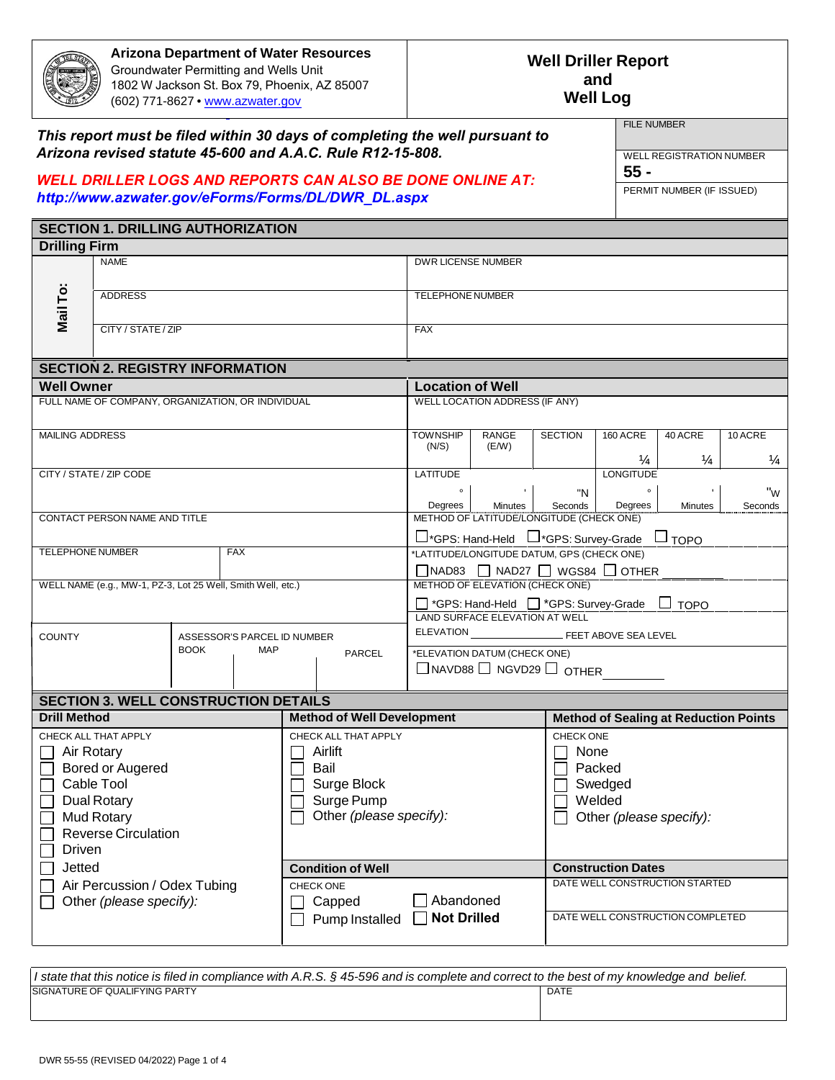

**Arizona Department of Water Resources** Groundwater Permitting and Wells Unit [1802 W Jackson St. Box 79](http://www.azwater.gov/), Phoenix, AZ 85007 (602) 771-8627 • www.azwater.gov

#### **Well Log Well Driller Report and**

#### *This report must be filed within 30 days of completing the well pursuant to Arizona revised statute 45-600 and A.A.C. Rule R12-15-808.*

#### *WELL DRILLER LOGS AND REPORTS CAN ALSO BE DONE ONLINE AT: http://www.azwater.gov/eForms/Forms/DL/DWR\_DL.aspx*

WELL REGISTRATION NUMBER

**55 -**

FILE NUMBER

PERMIT NUMBER (IF ISSUED)

|                                           | <b>SECTION 1. DRILLING AUTHORIZATION</b>                    |             |            |                                   |                                                                                              |                                                     |                           |                                                           |                                |               |  |  |  |  |  |  |
|-------------------------------------------|-------------------------------------------------------------|-------------|------------|-----------------------------------|----------------------------------------------------------------------------------------------|-----------------------------------------------------|---------------------------|-----------------------------------------------------------|--------------------------------|---------------|--|--|--|--|--|--|
| <b>Drilling Firm</b>                      |                                                             |             |            |                                   |                                                                                              |                                                     |                           |                                                           |                                |               |  |  |  |  |  |  |
|                                           | <b>NAME</b>                                                 |             |            |                                   | DWR LICENSE NUMBER                                                                           |                                                     |                           |                                                           |                                |               |  |  |  |  |  |  |
|                                           |                                                             |             |            |                                   |                                                                                              |                                                     |                           |                                                           |                                |               |  |  |  |  |  |  |
|                                           | <b>ADDRESS</b>                                              |             |            |                                   | <b>TELEPHONE NUMBER</b>                                                                      |                                                     |                           |                                                           |                                |               |  |  |  |  |  |  |
| Mail To:                                  |                                                             |             |            |                                   |                                                                                              |                                                     |                           |                                                           |                                |               |  |  |  |  |  |  |
|                                           | CITY / STATE / ZIP                                          |             |            |                                   | <b>FAX</b>                                                                                   |                                                     |                           |                                                           |                                |               |  |  |  |  |  |  |
|                                           |                                                             |             |            |                                   |                                                                                              |                                                     |                           |                                                           |                                |               |  |  |  |  |  |  |
|                                           | <b>SECTION 2. REGISTRY INFORMATION</b>                      |             |            |                                   |                                                                                              |                                                     |                           |                                                           |                                |               |  |  |  |  |  |  |
| <b>Well Owner</b>                         |                                                             |             |            |                                   | <b>Location of Well</b>                                                                      |                                                     |                           |                                                           |                                |               |  |  |  |  |  |  |
|                                           | FULL NAME OF COMPANY, ORGANIZATION, OR INDIVIDUAL           |             |            |                                   |                                                                                              | <b>WELL LOCATION ADDRESS (IF ANY)</b>               |                           |                                                           |                                |               |  |  |  |  |  |  |
|                                           |                                                             |             |            |                                   |                                                                                              |                                                     |                           |                                                           |                                |               |  |  |  |  |  |  |
| <b>MAILING ADDRESS</b>                    |                                                             |             |            |                                   | <b>TOWNSHIP</b><br>(N/S)                                                                     | RANGE<br>(E/W)                                      | <b>SECTION</b>            | 160 ACRE                                                  | 40 ACRE                        | 10 ACRE       |  |  |  |  |  |  |
|                                           |                                                             |             |            |                                   |                                                                                              |                                                     |                           | $\frac{1}{4}$                                             | $\frac{1}{4}$                  | $\frac{1}{4}$ |  |  |  |  |  |  |
|                                           | CITY / STATE / ZIP CODE                                     |             |            |                                   | LATITUDE                                                                                     |                                                     |                           | <b>LONGITUDE</b>                                          |                                |               |  |  |  |  |  |  |
|                                           |                                                             |             |            |                                   | $\circ$                                                                                      |                                                     | "N                        | $\circ$                                                   |                                | "w            |  |  |  |  |  |  |
|                                           | CONTACT PERSON NAME AND TITLE                               |             |            |                                   | Degrees                                                                                      | Minutes<br>METHOD OF LATITUDE/LONGITUDE (CHECK ONE) | Seconds                   | Degrees                                                   | Minutes                        | Seconds       |  |  |  |  |  |  |
|                                           |                                                             |             |            |                                   |                                                                                              |                                                     |                           |                                                           |                                |               |  |  |  |  |  |  |
| <b>TELEPHONE NUMBER</b>                   |                                                             |             | <b>FAX</b> |                                   | □*GPS: Hand-Held □*GPS: Survey-Grade<br>⊔ торо<br>*LATITUDE/LONGITUDE DATUM, GPS (CHECK ONE) |                                                     |                           |                                                           |                                |               |  |  |  |  |  |  |
|                                           |                                                             |             |            |                                   | □NAD83 □ NAD27 □ WGS84 □ OTHER                                                               |                                                     |                           |                                                           |                                |               |  |  |  |  |  |  |
|                                           | WELL NAME (e.g., MW-1, PZ-3, Lot 25 Well, Smith Well, etc.) |             |            |                                   | METHOD OF ELEVATION (CHECK ONE)                                                              |                                                     |                           |                                                           |                                |               |  |  |  |  |  |  |
|                                           |                                                             |             |            |                                   | □ *GPS: Hand-Held □ *GPS: Survey-Grade<br><b>TOPO</b>                                        |                                                     |                           |                                                           |                                |               |  |  |  |  |  |  |
|                                           |                                                             |             |            |                                   | LAND SURFACE ELEVATION AT WELL                                                               |                                                     |                           |                                                           |                                |               |  |  |  |  |  |  |
| <b>COUNTY</b>                             | ASSESSOR'S PARCEL ID NUMBER                                 |             |            |                                   | <b>ELEVATION</b><br>FEET ABOVE SEA LEVEL                                                     |                                                     |                           |                                                           |                                |               |  |  |  |  |  |  |
|                                           |                                                             | <b>BOOK</b> | <b>MAP</b> | <b>PARCEL</b>                     | *ELEVATION DATUM (CHECK ONE)                                                                 |                                                     |                           |                                                           |                                |               |  |  |  |  |  |  |
|                                           |                                                             |             |            |                                   | $\Box$ NAVD88 $\Box$ NGVD29 $\Box$ OTHER                                                     |                                                     |                           |                                                           |                                |               |  |  |  |  |  |  |
|                                           | <b>SECTION 3. WELL CONSTRUCTION DETAILS</b>                 |             |            |                                   |                                                                                              |                                                     |                           |                                                           |                                |               |  |  |  |  |  |  |
| <b>Drill Method</b>                       |                                                             |             |            | <b>Method of Well Development</b> |                                                                                              |                                                     |                           |                                                           |                                |               |  |  |  |  |  |  |
|                                           | CHECK ALL THAT APPLY                                        |             |            | CHECK ALL THAT APPLY              |                                                                                              |                                                     |                           | <b>Method of Sealing at Reduction Points</b><br>CHECK ONE |                                |               |  |  |  |  |  |  |
| Air Rotary<br>$\mathcal{L}_{\mathcal{A}}$ |                                                             |             |            | Airlift                           |                                                                                              |                                                     |                           | None                                                      |                                |               |  |  |  |  |  |  |
|                                           | Bored or Augered                                            |             |            | Bail                              |                                                                                              |                                                     |                           | Packed                                                    |                                |               |  |  |  |  |  |  |
|                                           | Cable Tool                                                  |             |            | Surge Block                       |                                                                                              |                                                     |                           | Swedged                                                   |                                |               |  |  |  |  |  |  |
|                                           | <b>Dual Rotary</b>                                          |             |            | Surge Pump                        |                                                                                              |                                                     |                           | Welded                                                    |                                |               |  |  |  |  |  |  |
|                                           | <b>Mud Rotary</b>                                           |             |            | Other (please specify):           |                                                                                              |                                                     |                           | Other (please specify):                                   |                                |               |  |  |  |  |  |  |
|                                           | <b>Reverse Circulation</b>                                  |             |            |                                   |                                                                                              |                                                     |                           |                                                           |                                |               |  |  |  |  |  |  |
| Driven                                    |                                                             |             |            |                                   |                                                                                              |                                                     |                           |                                                           |                                |               |  |  |  |  |  |  |
| Jetted                                    |                                                             |             |            | <b>Condition of Well</b>          |                                                                                              |                                                     | <b>Construction Dates</b> |                                                           |                                |               |  |  |  |  |  |  |
|                                           | Air Percussion / Odex Tubing                                |             |            | <b>CHECK ONE</b>                  |                                                                                              |                                                     |                           |                                                           | DATE WELL CONSTRUCTION STARTED |               |  |  |  |  |  |  |
|                                           | Other (please specify):                                     |             |            | Capped                            | Abandoned                                                                                    |                                                     |                           |                                                           |                                |               |  |  |  |  |  |  |
|                                           |                                                             |             |            | Pump Installed                    | <b>Not Drilled</b>                                                                           |                                                     |                           | DATE WELL CONSTRUCTION COMPLETED                          |                                |               |  |  |  |  |  |  |
|                                           |                                                             |             |            |                                   |                                                                                              |                                                     |                           |                                                           |                                |               |  |  |  |  |  |  |

| I state that this notice is filed in compliance with A.R.S. § 45-596 and is complete and correct to the best of my knowledge and belief. |             |  |  |  |  |  |  |  |  |
|------------------------------------------------------------------------------------------------------------------------------------------|-------------|--|--|--|--|--|--|--|--|
| SIGNATURE OF QUALIFYING PARTY                                                                                                            | <b>DATE</b> |  |  |  |  |  |  |  |  |
|                                                                                                                                          |             |  |  |  |  |  |  |  |  |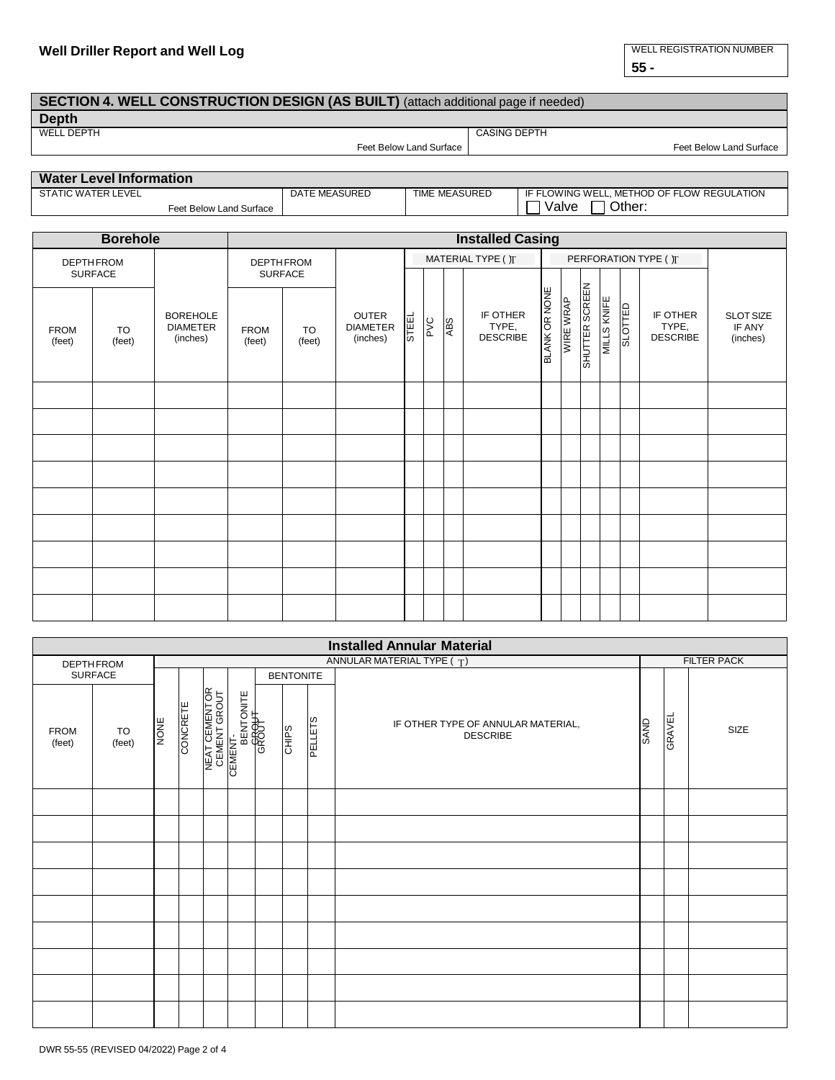#### **Well Driller Report and Well Log** WELL REGISTRATION NUMBER

**55 -**

#### **SECTION 4. WELL CONSTRUCTION DESIGN (AS BUILT)** (attach additional page if needed)

**Depth**<br>WELL DEPTH

Feet Below Land Surface | The Contract Contract Contract Contract Contract Contract Contract Contract Contract Contract Contract Contract Contract Contract Contract Contract Contract Contract Contract Contract Contract Con

## **Water Level Information**

DATE MEASURED | TIME MEASURED | IF FLOWING WELL, METHOD OF FLOW REGULATION Feet Below Land Surface Value 2011 (Valve District 2011)

CASING DEPTH

|                       | <b>Borehole</b> |                                                | <b>Installed Casing</b>               |  |                                      |                    |               |            |                                      |                      |           |                       |             |         |                                      |                                 |
|-----------------------|-----------------|------------------------------------------------|---------------------------------------|--|--------------------------------------|--------------------|---------------|------------|--------------------------------------|----------------------|-----------|-----------------------|-------------|---------|--------------------------------------|---------------------------------|
| <b>DEPTHFROM</b>      |                 |                                                | <b>DEPTHFROM</b>                      |  |                                      | MATERIAL TYPE () T |               |            |                                      |                      |           | PERFORATION TYPE ( )T |             |         |                                      |                                 |
|                       | <b>SURFACE</b>  |                                                | <b>SURFACE</b>                        |  |                                      |                    |               |            |                                      |                      |           |                       |             |         |                                      |                                 |
| <b>FROM</b><br>(feet) | TO<br>(feet)    | <b>BOREHOLE</b><br><b>DIAMETER</b><br>(inches) | <b>FROM</b><br>TO<br>(feet)<br>(feet) |  | OUTER<br><b>DIAMETER</b><br>(inches) | <b>STEL</b>        | $\frac{1}{2}$ | <b>ABS</b> | IF OTHER<br>TYPE,<br><b>DESCRIBE</b> | <b>BLANK OR NONE</b> | WIRE WRAP | SHUTTER SCREEN        | MILLS KNIFE | SLOTTED | IF OTHER<br>TYPE,<br><b>DESCRIBE</b> | SLOT SIZE<br>IF ANY<br>(inches) |
|                       |                 |                                                |                                       |  |                                      |                    |               |            |                                      |                      |           |                       |             |         |                                      |                                 |
|                       |                 |                                                |                                       |  |                                      |                    |               |            |                                      |                      |           |                       |             |         |                                      |                                 |
|                       |                 |                                                |                                       |  |                                      |                    |               |            |                                      |                      |           |                       |             |         |                                      |                                 |
|                       |                 |                                                |                                       |  |                                      |                    |               |            |                                      |                      |           |                       |             |         |                                      |                                 |
|                       |                 |                                                |                                       |  |                                      |                    |               |            |                                      |                      |           |                       |             |         |                                      |                                 |
|                       |                 |                                                |                                       |  |                                      |                    |               |            |                                      |                      |           |                       |             |         |                                      |                                 |
|                       |                 |                                                |                                       |  |                                      |                    |               |            |                                      |                      |           |                       |             |         |                                      |                                 |
|                       |                 |                                                |                                       |  |                                      |                    |               |            |                                      |                      |           |                       |             |         |                                      |                                 |
|                       |                 |                                                |                                       |  |                                      |                    |               |            |                                      |                      |           |                       |             |         |                                      |                                 |

| <b>Installed Annular Material</b> |                  |             |          |  |                                                            |                                |  |  |                                                       |             |        |      |
|-----------------------------------|------------------|-------------|----------|--|------------------------------------------------------------|--------------------------------|--|--|-------------------------------------------------------|-------------|--------|------|
|                                   | <b>DEPTHFROM</b> |             |          |  | <b>FILTER PACK</b>                                         |                                |  |  |                                                       |             |        |      |
| SURFACE                           |                  |             |          |  |                                                            | <b>BENTONITE</b>               |  |  |                                                       |             |        |      |
| <b>FROM</b><br>(feet)             | TO<br>(feet)     | <b>MONE</b> | CONCRETE |  | NEAT CEMENTOR<br>CEMENT GROUT<br>CEMENT<br>CEMENT<br>GROOH | <b>PELLETS</b><br><b>CHIPS</b> |  |  | IF OTHER TYPE OF ANNULAR MATERIAL,<br><b>DESCRIBE</b> | <b>SAND</b> | GRAVEL | SIZE |
|                                   |                  |             |          |  |                                                            |                                |  |  |                                                       |             |        |      |
|                                   |                  |             |          |  |                                                            |                                |  |  |                                                       |             |        |      |
|                                   |                  |             |          |  |                                                            |                                |  |  |                                                       |             |        |      |
|                                   |                  |             |          |  |                                                            |                                |  |  |                                                       |             |        |      |
|                                   |                  |             |          |  |                                                            |                                |  |  |                                                       |             |        |      |
|                                   |                  |             |          |  |                                                            |                                |  |  |                                                       |             |        |      |
|                                   |                  |             |          |  |                                                            |                                |  |  |                                                       |             |        |      |
|                                   |                  |             |          |  |                                                            |                                |  |  |                                                       |             |        |      |
|                                   |                  |             |          |  |                                                            |                                |  |  |                                                       |             |        |      |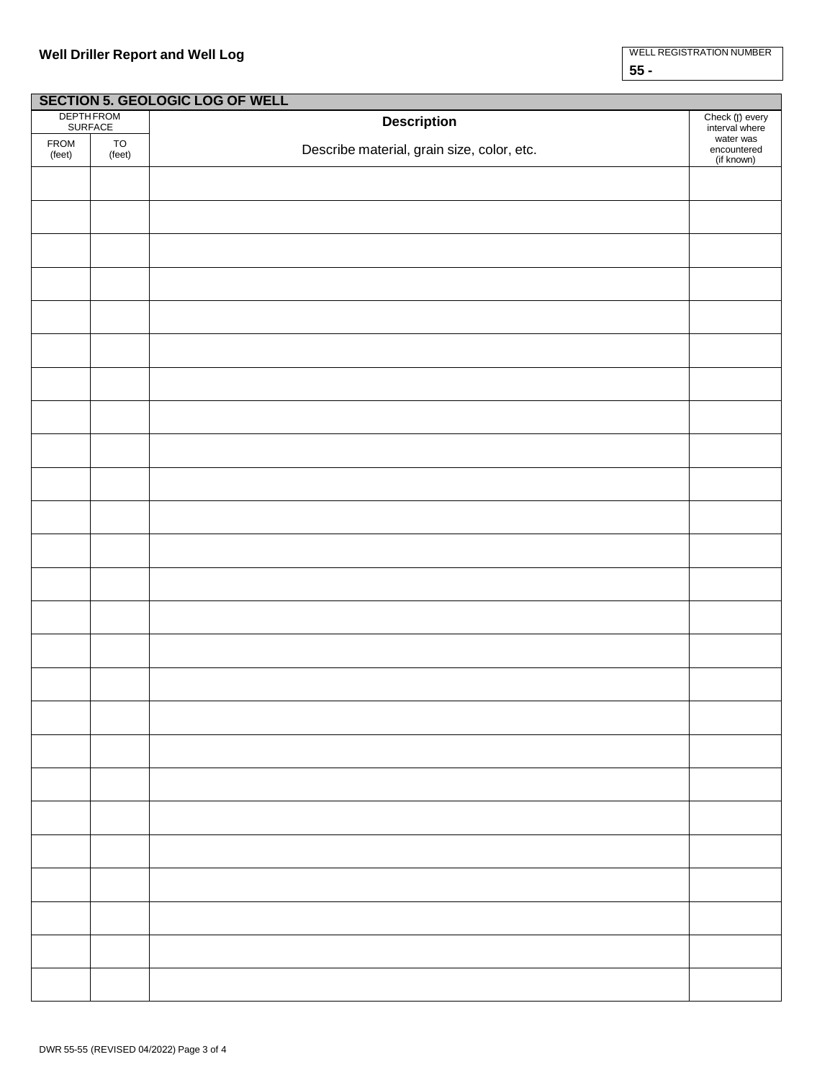|                | <b>SECTION 5. GEOLOGIC LOG OF WELL</b> |                                            |                                                          |  |  |  |  |  |  |  |  |
|----------------|----------------------------------------|--------------------------------------------|----------------------------------------------------------|--|--|--|--|--|--|--|--|
|                | <b>DEPTHFROM</b>                       | <b>Description</b>                         | Check (I) every                                          |  |  |  |  |  |  |  |  |
| FROM<br>(feet) | <b>SURFACE</b><br>TO<br>(feet)         | Describe material, grain size, color, etc. | interval where<br>water was<br>encountered<br>(if known) |  |  |  |  |  |  |  |  |
|                |                                        |                                            |                                                          |  |  |  |  |  |  |  |  |
|                |                                        |                                            |                                                          |  |  |  |  |  |  |  |  |
|                |                                        |                                            |                                                          |  |  |  |  |  |  |  |  |
|                |                                        |                                            |                                                          |  |  |  |  |  |  |  |  |
|                |                                        |                                            |                                                          |  |  |  |  |  |  |  |  |
|                |                                        |                                            |                                                          |  |  |  |  |  |  |  |  |
|                |                                        |                                            |                                                          |  |  |  |  |  |  |  |  |
|                |                                        |                                            |                                                          |  |  |  |  |  |  |  |  |
|                |                                        |                                            |                                                          |  |  |  |  |  |  |  |  |
|                |                                        |                                            |                                                          |  |  |  |  |  |  |  |  |
|                |                                        |                                            |                                                          |  |  |  |  |  |  |  |  |
|                |                                        |                                            |                                                          |  |  |  |  |  |  |  |  |
|                |                                        |                                            |                                                          |  |  |  |  |  |  |  |  |
|                |                                        |                                            |                                                          |  |  |  |  |  |  |  |  |
|                |                                        |                                            |                                                          |  |  |  |  |  |  |  |  |
|                |                                        |                                            |                                                          |  |  |  |  |  |  |  |  |
|                |                                        |                                            |                                                          |  |  |  |  |  |  |  |  |
|                |                                        |                                            |                                                          |  |  |  |  |  |  |  |  |
|                |                                        |                                            |                                                          |  |  |  |  |  |  |  |  |
|                |                                        |                                            |                                                          |  |  |  |  |  |  |  |  |
|                |                                        |                                            |                                                          |  |  |  |  |  |  |  |  |
|                |                                        |                                            |                                                          |  |  |  |  |  |  |  |  |
|                |                                        |                                            |                                                          |  |  |  |  |  |  |  |  |
|                |                                        |                                            |                                                          |  |  |  |  |  |  |  |  |
|                |                                        |                                            |                                                          |  |  |  |  |  |  |  |  |
|                |                                        |                                            |                                                          |  |  |  |  |  |  |  |  |
|                |                                        |                                            |                                                          |  |  |  |  |  |  |  |  |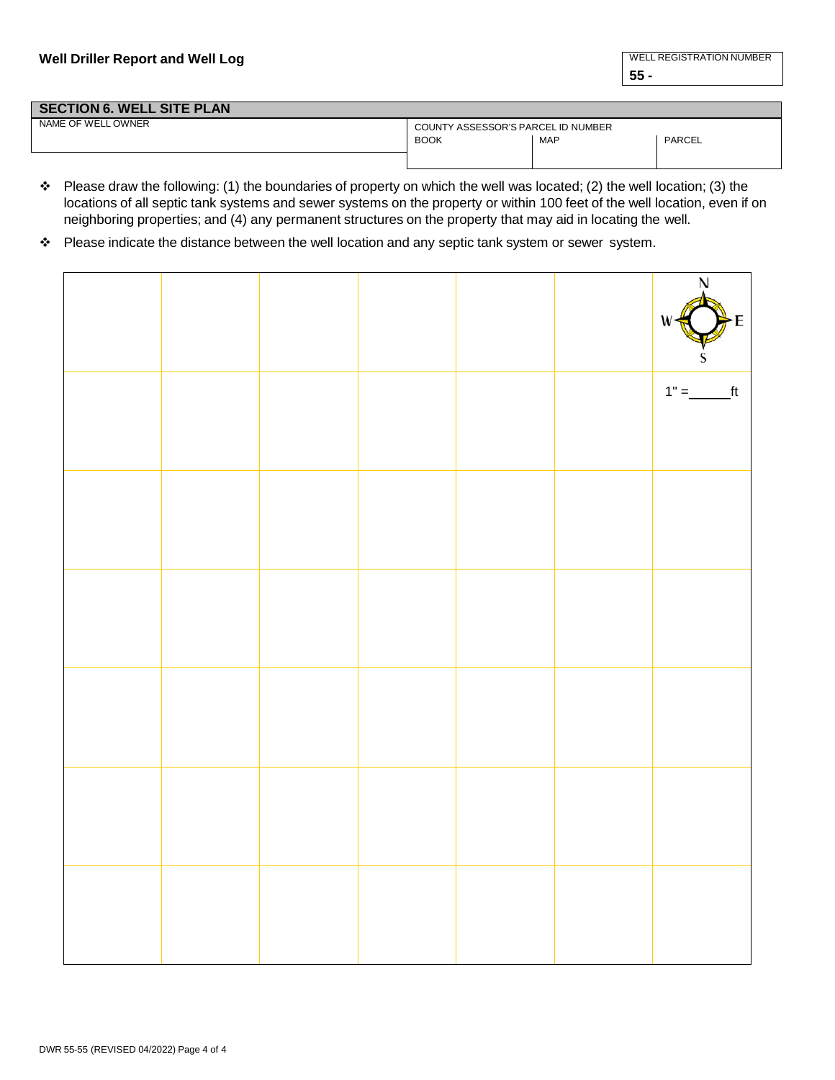### **SECTION 6. WELL SITE PLAN**<br>NAME OF WELL OWNER COUNTY ASSESSOR'S PARCEL ID NUMBER BOOK | MAP | PARCEL

- Please draw the following: (1) the boundaries of property on which the well was located; (2) the well location; (3) the locations of all septic tank systems and sewer systems on the property or within 100 feet of the well location, even if on neighboring properties; and (4) any permanent structures on the property that may aid in locating the well.
- \* Please indicate the distance between the well location and any septic tank system or sewer system.

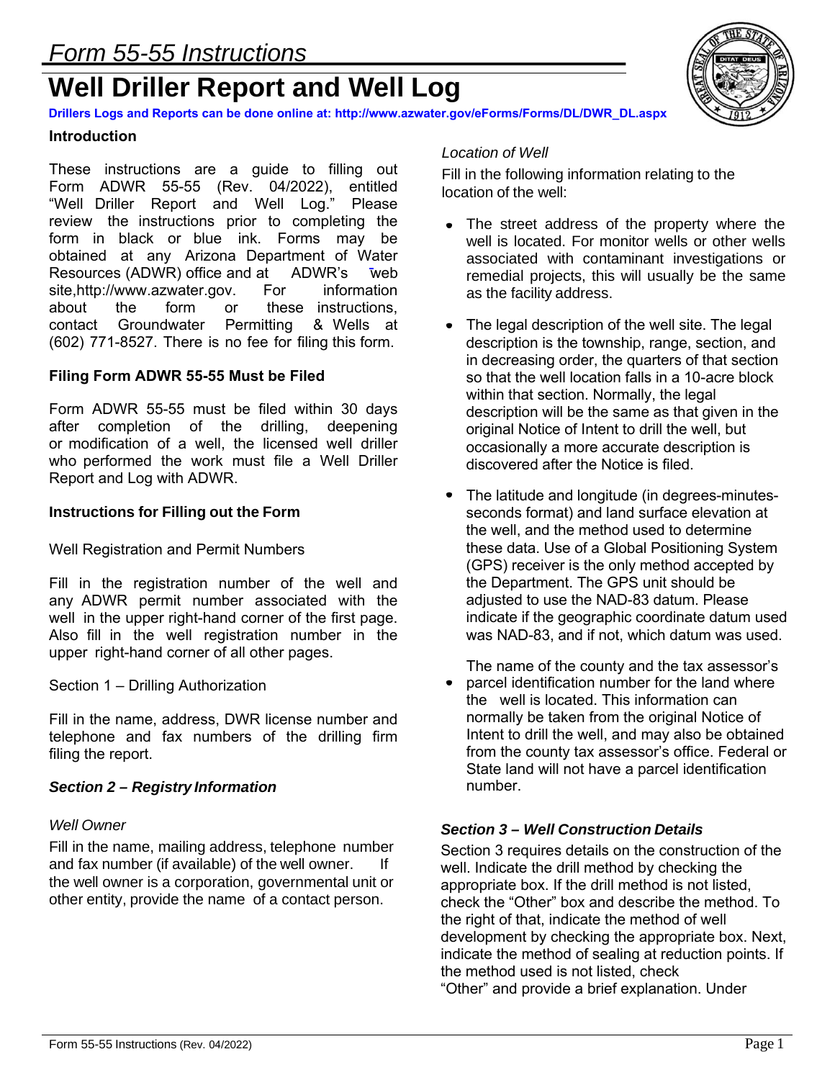# **Well Driller Report and Well Log**



**Drillers Logs and Reports can be done online at: http://www.azwater.gov/eForms/Forms/DL/DWR\_DL.aspx**

#### **Introduction**

These instructions are a guide to filling out Form ADWR 55-55 (Rev. 04/2022), entitled "Well Driller Report and Well Log." Please review the instructions prior to completing the form in black or blue ink. Forms may be obtained at any Arizona Department of Water Resources (ADWR) office and at ADWR's web<br>site.http://www.azwater.gov. For information site,http://www.azwater.gov. For information<br>about the form or these instructions. about the form or these instructions,<br>contact Groundwater Permitting & Wells at contact Groundwater Permitting & Wells at (602) 771-8527. There is no fee for filing this form.

#### **Filing Form ADWR 55-55 Must be Filed**

Form ADWR 55-55 must be filed within 30 days after completion of the drilling, deepening or modification of a well, the licensed well driller who performed the work must file a Well Driller Report and Log with ADWR.

#### **Instructions for Filling out the Form**

Well Registration and Permit Numbers

Fill in the registration number of the well and any ADWR permit number associated with the well in the upper right-hand corner of the first page. Also fill in the well registration number in the upper right-hand corner of all other pages.

Section 1 – Drilling Authorization

Fill in the name, address, DWR license number and telephone and fax numbers of the drilling firm filing the report.

#### *Section 2 – Registry Information*

#### *Well Owner*

Fill in the name, mailing address, telephone number and fax number (if available) of the well owner. If the well owner is a corporation, governmental unit or other entity, provide the name of a contact person.

#### *Location of Well*

Fill in the following information relating to the location of the well:

- The street address of the property where the well is located. For monitor wells or other wells associated with contaminant investigations or remedial projects, this will usually be the same as the facility address.
- The legal description of the well site. The legal description is the township, range, section, and in decreasing order, the quarters of that section so that the well location falls in a 10-acre block within that section. Normally, the legal description will be the same as that given in the original Notice of Intent to drill the well, but occasionally a more accurate description is discovered after the Notice is filed.
- The latitude and longitude (in degrees-minutesseconds format) and land surface elevation at the well, and the method used to determine these data. Use of a Global Positioning System (GPS) receiver is the only method accepted by the Department. The GPS unit should be adjusted to use the NAD-83 datum. Please indicate if the geographic coordinate datum used was NAD-83, and if not, which datum was used.

The name of the county and the tax assessor's

parcel identification number for the land where the well is located. This information can normally be taken from the original Notice of Intent to drill the well, and may also be obtained from the county tax assessor's office. Federal or State land will not have a parcel identification number.

#### *Section 3 – Well Construction Details*

Section 3 requires details on the construction of the well. Indicate the drill method by checking the appropriate box. If the drill method is not listed, check the "Other" box and describe the method. To the right of that, indicate the method of well development by checking the appropriate box. Next, indicate the method of sealing at reduction points. If the method used is not listed, check "Other" and provide a brief explanation. Under